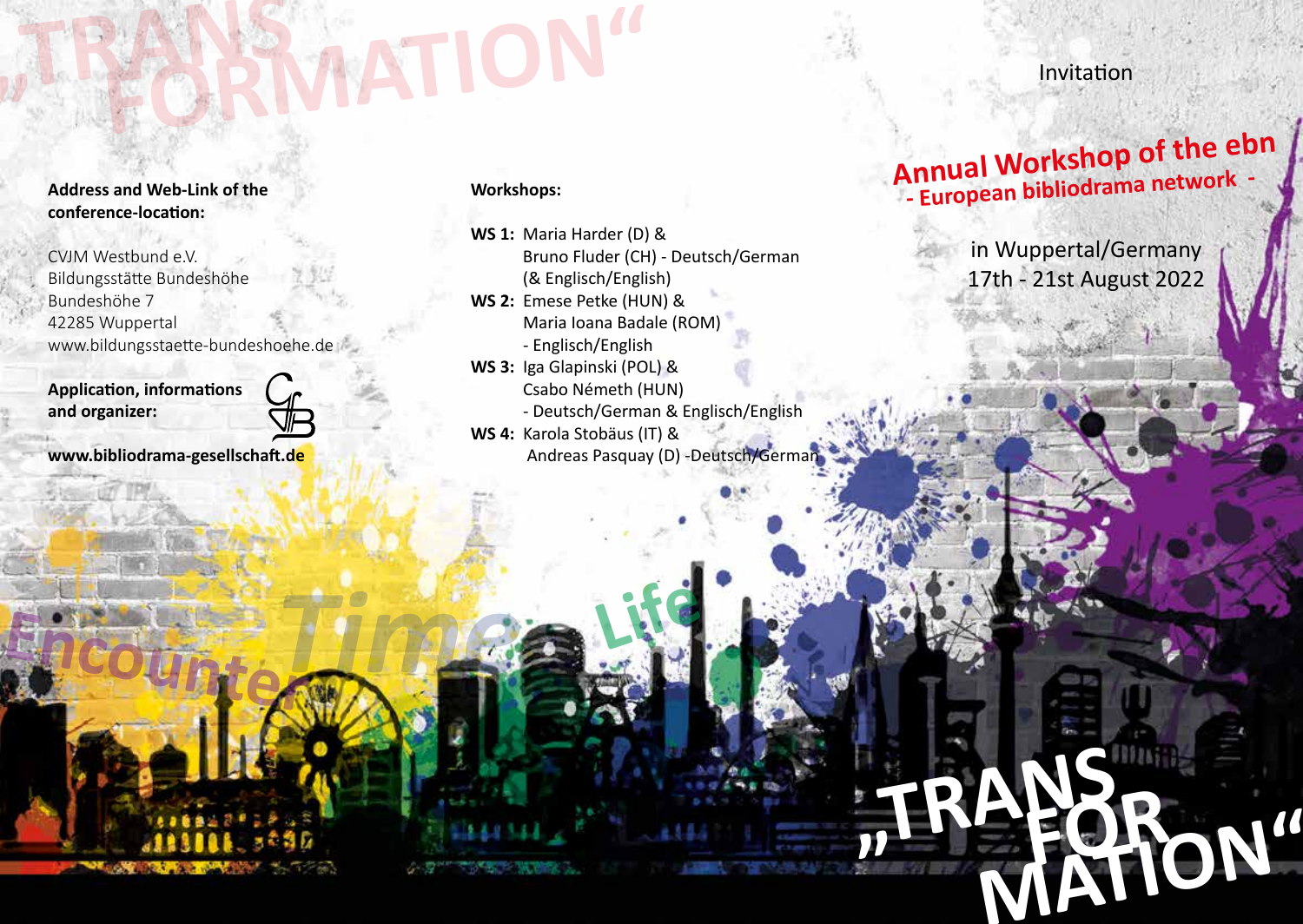# **"TRANS EXAMPLE ON**

**Address and Web-Link of the conference-location:**

CVJM Westbund e.V. Bildungsstätte Bundeshöhe Bundeshöhe 7 42285 Wuppertal www.bildungsstaette-bundeshoehe.de

**Application, informations and organizer:** 



**Encounter***Time* **Life**

**www.bibliodrama-gesellschaft.de**

### **Workshops:**

**WS 1:** Maria Harder (D) & Bruno Fluder (CH) - Deutsch/German (& Englisch/English) **WS 2:** Emese Petke (HUN) & Maria Ioana Badale (ROM) - Englisch/English **WS 3:** Iga Glapinski (POL) & Csabo Németh (HUN) - Deutsch/German & Englisch/English **WS 4:** Karola Stobäus (IT) & Andreas Pasquay (D) -Deutsch/German Invitation

## **- European bibliodrama network Annual Workshop of the ebn -**

in Wuppertal/Germany 17th - 21st August 2022

**"TRANS**

 **FOR MATION"**